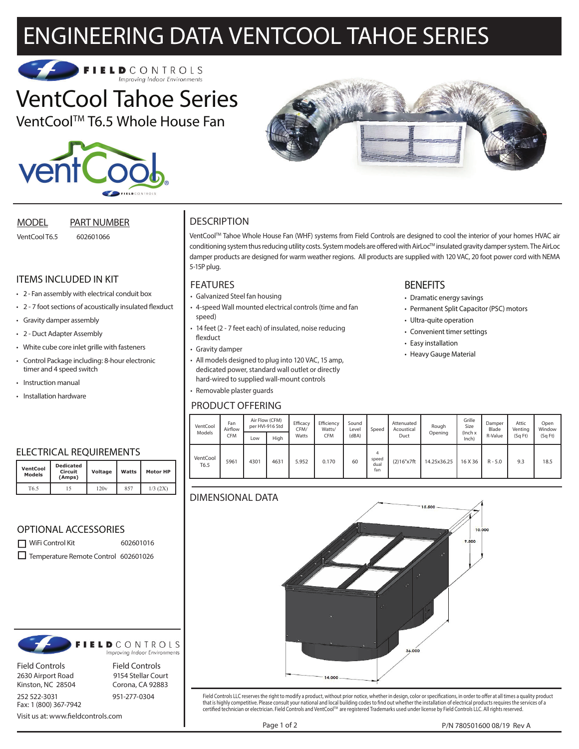# ENGINEERING DATA VENTCOOL TAHOE SERIES



# VentCool Tahoe Series

VentCool™ T6.5 Whole House Fan





MODEL PART NUMBER

VentCool T6.5 602601066

# ITEMS INCLUDED IN KIT

- 2 Fan assembly with electrical conduit box
- 2 7 foot sections of acoustically insulated flexduct
- Gravity damper assembly
- 2 Duct Adapter Assembly
- White cube core inlet grille with fasteners
- Control Package including: 8-hour electronic timer and 4 speed switch
- Instruction manual

**VentCool Models**

• Installation hardware

# **DESCRIPTION**

VentCoolTM Tahoe Whole House Fan (WHF) systems from Field Controls are designed to cool the interior of your homes HVAC air conditioning system thus reducing utility costs. System models are offered with AirLoc™ insulated gravity damper system. The AirLoc damper products are designed for warm weather regions. All products are supplied with 120 VAC, 20 foot power cord with NEMA 5-15P plug.

### FEATURES

- Galvanized Steel fan housing
- 4-speed Wall mounted electrical controls (time and fan speed)
- 14 feet (2 7 feet each) of insulated, noise reducing flexduct
- Gravity damper
- All models designed to plug into 120 VAC, 15 amp, dedicated power, standard wall outlet or directly hard-wired to supplied wall-mount controls
- Removable plaster guards

## PRODUCT OFFERING

# **BENEFITS**

- Dramatic energy savings
- Permanent Split Capacitor (PSC) motors
- Ultra-quite operation
- Convenient timer settings
- Easy installation
- Heavy Gauge Material

| VentCool<br>Models | Fan<br>Airflow | Air Flow (CFM)<br>per HVI-916 Std |      | Efficacy<br>CFM/ | Efficiency<br>Watts/ | Sound<br>Level | Speed                     | Attenuated<br>Acoustical | Rough       | Grille<br>Size      | Damper<br>Blade | Attic<br>Venting | Open<br>Window |
|--------------------|----------------|-----------------------------------|------|------------------|----------------------|----------------|---------------------------|--------------------------|-------------|---------------------|-----------------|------------------|----------------|
|                    | <b>CFM</b>     | Low                               | High | Watts            | CFM                  | (dBA)          |                           | Duct                     | Opening     | $l$ Inch x<br>Inch) | R-Value         | (Sq Ft)          | (SqFt)         |
| VentCool<br>T6.5   | 5961           | 4301                              | 4631 | 5.952            | 0.170                | 60             | 4<br>speed<br>dual<br>fan | (2)16"x7ft               | 14.25x36.25 | 16 X 36             | $R - 5.0$       | 9.3              | 18.5           |

# DIN



Field Controls LLC reserves the right to modify a product, without prior notice, whether in design, color or specifications, in order to offer at all times a quality product that is highly competitive. Please consult your national and local building codes to find out whether the installation of electrical products requires the services of a<br>certified technician or electrician. Field Controls

WiFi Control Kit 602601016 Temperature Remote Control 602601026



Field Controls Field Controls

Fax: 1 (800) 367-7942

2630 Airport Road 9154 Stellar Court Kinston, NC 28504 Corona, CA 92883

252 522-3031 951-277-0304

Voltage Watts Motor HP

Visit us at: www.fieldcontrols.com





T6.5 15 120v 857 1/3 (2X)

**Dedicated Circuit (Amps)**

OPTIONAL ACCESSORIES

| Fan<br>Airflow<br><b>CFM</b> | Air Flow (CFM)<br>per HVI-916 Std |      | Efficacy<br>CFM/ | Efficiency<br>Watts/ | Sound<br>Level | Speed                     | Attenuated<br>Acoustical | Rough       | Grille<br>Size | Damper<br>Blade | Attic<br>Venting | V |
|------------------------------|-----------------------------------|------|------------------|----------------------|----------------|---------------------------|--------------------------|-------------|----------------|-----------------|------------------|---|
|                              | Low                               | High | Watts            | <b>CFM</b>           | (dBA)          |                           | Duct                     |             | Inch)          | R-Value         | (Sq Ft)          |   |
| 5961                         | 4301                              | 4631 | 5.952            | 0.170                | 60             | 4<br>speed<br>dual<br>fan | (2)16"x7ft               | 14.25x36.25 | 16 X 36        | $R - 5.0$       | 9.3              |   |
|                              |                                   |      |                  |                      |                |                           |                          |             |                |                 |                  |   |
|                              |                                   |      |                  |                      |                |                           |                          | $15,500 -$  |                |                 |                  |   |
|                              |                                   |      | MENSIONAL DATA   |                      |                |                           |                          |             | Opening        | (Inch x         |                  |   |